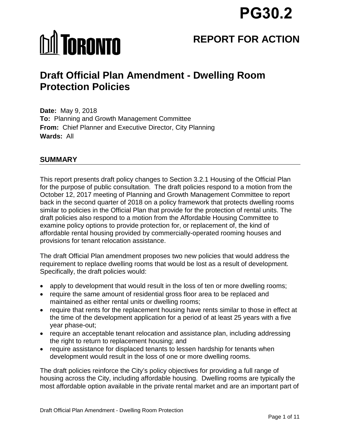# **PG30.2**

# **MI TORONTO**

## **REPORT FOR ACTION**

## **Draft Official Plan Amendment - Dwelling Room Protection Policies**

**Date:** May 9, 2018 **To:** Planning and Growth Management Committee **From:** Chief Planner and Executive Director, City Planning **Wards:** All

#### **SUMMARY**

This report presents draft policy changes to Section 3.2.1 Housing of the Official Plan for the purpose of public consultation. The draft policies respond to a motion from the October 12, 2017 meeting of Planning and Growth Management Committee to report back in the second quarter of 2018 on a policy framework that protects dwelling rooms similar to policies in the Official Plan that provide for the protection of rental units. The draft policies also respond to a motion from the Affordable Housing Committee to examine policy options to provide protection for, or replacement of, the kind of affordable rental housing provided by commercially-operated rooming houses and provisions for tenant relocation assistance.

The draft Official Plan amendment proposes two new policies that would address the requirement to replace dwelling rooms that would be lost as a result of development. Specifically, the draft policies would:

- apply to development that would result in the loss of ten or more dwelling rooms;
- require the same amount of residential gross floor area to be replaced and maintained as either rental units or dwelling rooms;
- require that rents for the replacement housing have rents similar to those in effect at the time of the development application for a period of at least 25 years with a five year phase-out;
- require an acceptable tenant relocation and assistance plan, including addressing the right to return to replacement housing; and
- require assistance for displaced tenants to lessen hardship for tenants when development would result in the loss of one or more dwelling rooms.

The draft policies reinforce the City's policy objectives for providing a full range of housing across the City, including affordable housing. Dwelling rooms are typically the most affordable option available in the private rental market and are an important part of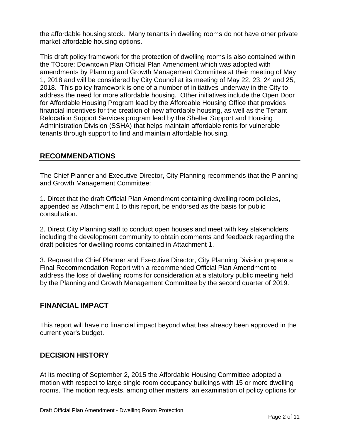the affordable housing stock. Many tenants in dwelling rooms do not have other private market affordable housing options.

This draft policy framework for the protection of dwelling rooms is also contained within the TOcore: Downtown Plan Official Plan Amendment which was adopted with amendments by Planning and Growth Management Committee at their meeting of May 1, 2018 and will be considered by City Council at its meeting of May 22, 23, 24 and 25, 2018. This policy framework is one of a number of initiatives underway in the City to address the need for more affordable housing. Other initiatives include the Open Door for Affordable Housing Program lead by the Affordable Housing Office that provides financial incentives for the creation of new affordable housing, as well as the Tenant Relocation Support Services program lead by the Shelter Support and Housing Administration Division (SSHA) that helps maintain affordable rents for vulnerable tenants through support to find and maintain affordable housing.

#### **RECOMMENDATIONS**

The Chief Planner and Executive Director, City Planning recommends that the Planning and Growth Management Committee:

1. Direct that the draft Official Plan Amendment containing dwelling room policies, appended as Attachment 1 to this report, be endorsed as the basis for public consultation.

2. Direct City Planning staff to conduct open houses and meet with key stakeholders including the development community to obtain comments and feedback regarding the draft policies for dwelling rooms contained in Attachment 1.

3. Request the Chief Planner and Executive Director, City Planning Division prepare a Final Recommendation Report with a recommended Official Plan Amendment to address the loss of dwelling rooms for consideration at a statutory public meeting held by the Planning and Growth Management Committee by the second quarter of 2019.

#### **FINANCIAL IMPACT**

This report will have no financial impact beyond what has already been approved in the current year's budget.

#### **DECISION HISTORY**

At its meeting of September 2, 2015 the Affordable Housing Committee adopted a motion with respect to large single-room occupancy buildings with 15 or more dwelling rooms. The motion requests, among other matters, an examination of policy options for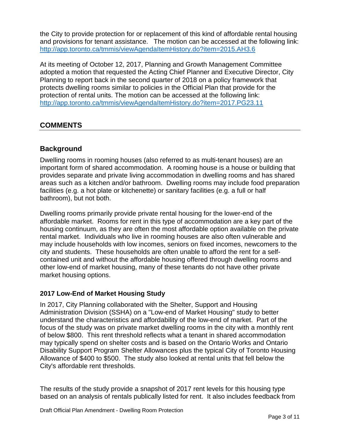the City to provide protection for or replacement of this kind of affordable rental housing and provisions for tenant assistance. The motion can be accessed at the following link: <http://app.toronto.ca/tmmis/viewAgendaItemHistory.do?item=2015.AH3.6>

At its meeting of October 12, 2017, Planning and Growth Management Committee adopted a motion that requested the Acting Chief Planner and Executive Director, City Planning to report back in the second quarter of 2018 on a policy framework that protects dwelling rooms similar to policies in the Official Plan that provide for the protection of rental units. The motion can be accessed at the following link: <http://app.toronto.ca/tmmis/viewAgendaItemHistory.do?item=2017.PG23.11>

#### **COMMENTS**

#### **Background**

Dwelling rooms in rooming houses (also referred to as multi-tenant houses) are an important form of shared accommodation. A rooming house is a house or building that provides separate and private living accommodation in dwelling rooms and has shared areas such as a kitchen and/or bathroom. Dwelling rooms may include food preparation facilities (e.g. a hot plate or kitchenette) or sanitary facilities (e.g. a full or half bathroom), but not both.

Dwelling rooms primarily provide private rental housing for the lower-end of the affordable market. Rooms for rent in this type of accommodation are a key part of the housing continuum, as they are often the most affordable option available on the private rental market. Individuals who live in rooming houses are also often vulnerable and may include households with low incomes, seniors on fixed incomes, newcomers to the city and students. These households are often unable to afford the rent for a selfcontained unit and without the affordable housing offered through dwelling rooms and other low-end of market housing, many of these tenants do not have other private market housing options.

#### **2017 Low-End of Market Housing Study**

In 2017, City Planning collaborated with the Shelter, Support and Housing Administration Division (SSHA) on a "Low-end of Market Housing" study to better understand the characteristics and affordability of the low-end of market. Part of the focus of the study was on private market dwelling rooms in the city with a monthly rent of below \$800. This rent threshold reflects what a tenant in shared accommodation may typically spend on shelter costs and is based on the Ontario Works and Ontario Disability Support Program Shelter Allowances plus the typical City of Toronto Housing Allowance of \$400 to \$500. The study also looked at rental units that fell below the City's affordable rent thresholds.

The results of the study provide a snapshot of 2017 rent levels for this housing type based on an analysis of rentals publically listed for rent. It also includes feedback from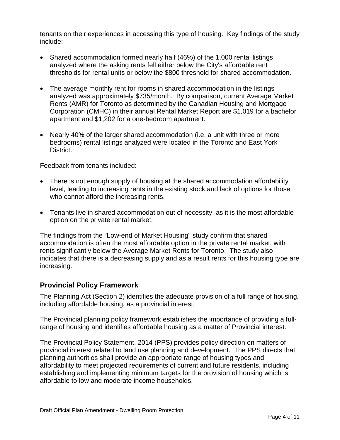tenants on their experiences in accessing this type of housing. Key findings of the study include:

- Shared accommodation formed nearly half (46%) of the 1,000 rental listings analyzed where the asking rents fell either below the City's affordable rent thresholds for rental units or below the \$800 threshold for shared accommodation.
- The average monthly rent for rooms in shared accommodation in the listings analyzed was approximately \$735/month. By comparison, current Average Market Rents (AMR) for Toronto as determined by the Canadian Housing and Mortgage Corporation (CMHC) in their annual Rental Market Report are \$1,019 for a bachelor apartment and \$1,202 for a one-bedroom apartment.
- Nearly 40% of the larger shared accommodation (i.e. a unit with three or more bedrooms) rental listings analyzed were located in the Toronto and East York District.

Feedback from tenants included:

- There is not enough supply of housing at the shared accommodation affordability level, leading to increasing rents in the existing stock and lack of options for those who cannot afford the increasing rents.
- Tenants live in shared accommodation out of necessity, as it is the most affordable option on the private rental market.

The findings from the "Low-end of Market Housing" study confirm that shared accommodation is often the most affordable option in the private rental market, with rents significantly below the Average Market Rents for Toronto. The study also indicates that there is a decreasing supply and as a result rents for this housing type are increasing.

#### **Provincial Policy Framework**

The Planning Act (Section 2) identifies the adequate provision of a full range of housing, including affordable housing, as a provincial interest.

The Provincial planning policy framework establishes the importance of providing a fullrange of housing and identifies affordable housing as a matter of Provincial interest.

The Provincial Policy Statement, 2014 (PPS) provides policy direction on matters of provincial interest related to land use planning and development. The PPS directs that planning authorities shall provide an appropriate range of housing types and affordability to meet projected requirements of current and future residents, including establishing and implementing minimum targets for the provision of housing which is affordable to low and moderate income households.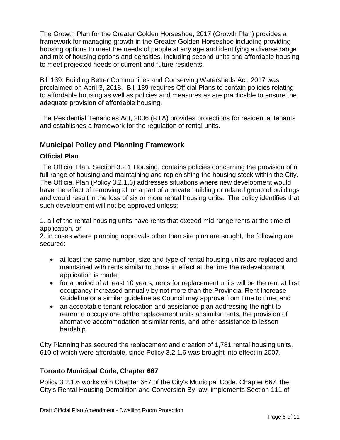The Growth Plan for the Greater Golden Horseshoe, 2017 (Growth Plan) provides a framework for managing growth in the Greater Golden Horseshoe including providing housing options to meet the needs of people at any age and identifying a diverse range and mix of housing options and densities, including second units and affordable housing to meet projected needs of current and future residents.

Bill 139: Building Better Communities and Conserving Watersheds Act, 2017 was proclaimed on April 3, 2018. Bill 139 requires Official Plans to contain policies relating to affordable housing as well as policies and measures as are practicable to ensure the adequate provision of affordable housing.

The Residential Tenancies Act, 2006 (RTA) provides protections for residential tenants and establishes a framework for the regulation of rental units.

#### **Municipal Policy and Planning Framework**

#### **Official Plan**

The Official Plan, Section 3.2.1 Housing, contains policies concerning the provision of a full range of housing and maintaining and replenishing the housing stock within the City. The Official Plan (Policy 3.2.1.6) addresses situations where new development would have the effect of removing all or a part of a private building or related group of buildings and would result in the loss of six or more rental housing units. The policy identifies that such development will not be approved unless:

1. all of the rental housing units have rents that exceed mid-range rents at the time of application, or

2. in cases where planning approvals other than site plan are sought, the following are secured:

- at least the same number, size and type of rental housing units are replaced and maintained with rents similar to those in effect at the time the redevelopment application is made;
- for a period of at least 10 years, rents for replacement units will be the rent at first occupancy increased annually by not more than the Provincial Rent Increase Guideline or a similar guideline as Council may approve from time to time; and
- an acceptable tenant relocation and assistance plan addressing the right to return to occupy one of the replacement units at similar rents, the provision of alternative accommodation at similar rents, and other assistance to lessen hardship.

City Planning has secured the replacement and creation of 1,781 rental housing units, 610 of which were affordable, since Policy 3.2.1.6 was brought into effect in 2007.

#### **Toronto Municipal Code, Chapter 667**

Policy 3.2.1.6 works with Chapter 667 of the City's Municipal Code. Chapter 667, the City's Rental Housing Demolition and Conversion By-law, implements Section 111 of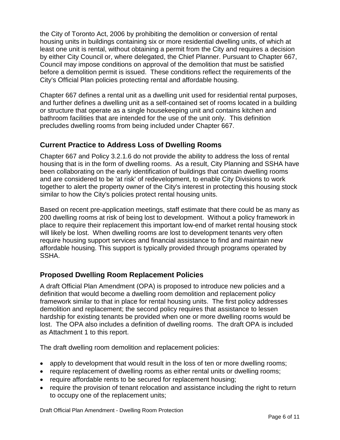the City of Toronto Act, 2006 by prohibiting the demolition or conversion of rental housing units in buildings containing six or more residential dwelling units, of which at least one unit is rental, without obtaining a permit from the City and requires a decision by either City Council or, where delegated, the Chief Planner. Pursuant to Chapter 667, Council may impose conditions on approval of the demolition that must be satisfied before a demolition permit is issued. These conditions reflect the requirements of the City's Official Plan policies protecting rental and affordable housing.

Chapter 667 defines a rental unit as a dwelling unit used for residential rental purposes, and further defines a dwelling unit as a self-contained set of rooms located in a building or structure that operate as a single housekeeping unit and contains kitchen and bathroom facilities that are intended for the use of the unit only. This definition precludes dwelling rooms from being included under Chapter 667.

#### **Current Practice to Address Loss of Dwelling Rooms**

Chapter 667 and Policy 3.2.1.6 do not provide the ability to address the loss of rental housing that is in the form of dwelling rooms. As a result, City Planning and SSHA have been collaborating on the early identification of buildings that contain dwelling rooms and are considered to be 'at risk' of redevelopment, to enable City Divisions to work together to alert the property owner of the City's interest in protecting this housing stock similar to how the City's policies protect rental housing units.

Based on recent pre-application meetings, staff estimate that there could be as many as 200 dwelling rooms at risk of being lost to development. Without a policy framework in place to require their replacement this important low-end of market rental housing stock will likely be lost. When dwelling rooms are lost to development tenants very often require housing support services and financial assistance to find and maintain new affordable housing. This support is typically provided through programs operated by SSHA.

#### **Proposed Dwelling Room Replacement Policies**

A draft Official Plan Amendment (OPA) is proposed to introduce new policies and a definition that would become a dwelling room demolition and replacement policy framework similar to that in place for rental housing units. The first policy addresses demolition and replacement; the second policy requires that assistance to lessen hardship for existing tenants be provided when one or more dwelling rooms would be lost. The OPA also includes a definition of dwelling rooms. The draft OPA is included as Attachment 1 to this report.

The draft dwelling room demolition and replacement policies:

- apply to development that would result in the loss of ten or more dwelling rooms;
- require replacement of dwelling rooms as either rental units or dwelling rooms;
- require affordable rents to be secured for replacement housing;
- require the provision of tenant relocation and assistance including the right to return to occupy one of the replacement units;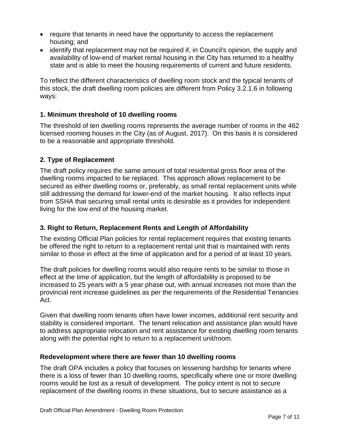- require that tenants in need have the opportunity to access the replacement housing; and
- identify that replacement may not be required if, in Council's opinion, the supply and availability of low-end of market rental housing in the City has returned to a healthy state and is able to meet the housing requirements of current and future residents.

To reflect the different characteristics of dwelling room stock and the typical tenants of this stock, the draft dwelling room policies are different from Policy 3.2.1.6 in following ways:

#### **1. Minimum threshold of 10 dwelling rooms**

The threshold of ten dwelling rooms represents the average number of rooms in the 462 licensed rooming houses in the City (as of August, 2017). On this basis it is considered to be a reasonable and appropriate threshold.

#### **2. Type of Replacement**

The draft policy requires the same amount of total residential gross floor area of the dwelling rooms impacted to be replaced. This approach allows replacement to be secured as either dwelling rooms or, preferably, as small rental replacement units while still addressing the demand for lower-end of the market housing. It also reflects input from SSHA that securing small rental units is desirable as it provides for independent living for the low end of the housing market.

#### **3. Right to Return, Replacement Rents and Length of Affordability**

The existing Official Plan policies for rental replacement requires that existing tenants be offered the right to return to a replacement rental unit that is maintained with rents similar to those in effect at the time of application and for a period of at least 10 years.

The draft policies for dwelling rooms would also require rents to be similar to those in effect at the time of application, but the length of affordability is proposed to be increased to 25 years with a 5 year phase out, with annual increases not more than the provincial rent increase guidelines as per the requirements of the Residential Tenancies Act.

Given that dwelling room tenants often have lower incomes, additional rent security and stability is considered important. The tenant relocation and assistance plan would have to address appropriate relocation and rent assistance for existing dwelling room tenants along with the potential right to return to a replacement unit/room.

#### **Redevelopment where there are fewer than 10 dwelling rooms**

The draft OPA includes a policy that focuses on lessening hardship for tenants where there is a loss of fewer than 10 dwelling rooms, specifically where one or more dwelling rooms would be lost as a result of development. The policy intent is not to secure replacement of the dwelling rooms in these situations, but to secure assistance as a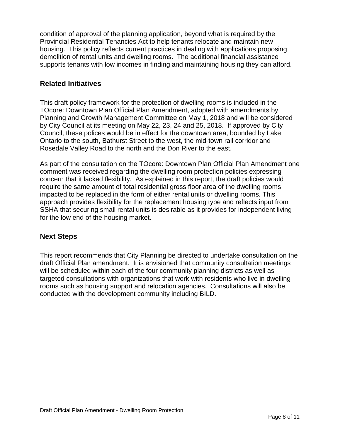condition of approval of the planning application, beyond what is required by the Provincial Residential Tenancies Act to help tenants relocate and maintain new housing. This policy reflects current practices in dealing with applications proposing demolition of rental units and dwelling rooms. The additional financial assistance supports tenants with low incomes in finding and maintaining housing they can afford.

#### **Related Initiatives**

This draft policy framework for the protection of dwelling rooms is included in the TOcore: Downtown Plan Official Plan Amendment, adopted with amendments by Planning and Growth Management Committee on May 1, 2018 and will be considered by City Council at its meeting on May 22, 23, 24 and 25, 2018. If approved by City Council, these polices would be in effect for the downtown area, bounded by Lake Ontario to the south, Bathurst Street to the west, the mid-town rail corridor and Rosedale Valley Road to the north and the Don River to the east.

As part of the consultation on the TOcore: Downtown Plan Official Plan Amendment one comment was received regarding the dwelling room protection policies expressing concern that it lacked flexibility. As explained in this report, the draft policies would require the same amount of total residential gross floor area of the dwelling rooms impacted to be replaced in the form of either rental units or dwelling rooms. This approach provides flexibility for the replacement housing type and reflects input from SSHA that securing small rental units is desirable as it provides for independent living for the low end of the housing market.

#### **Next Steps**

This report recommends that City Planning be directed to undertake consultation on the draft Official Plan amendment. It is envisioned that community consultation meetings will be scheduled within each of the four community planning districts as well as targeted consultations with organizations that work with residents who live in dwelling rooms such as housing support and relocation agencies. Consultations will also be conducted with the development community including BILD.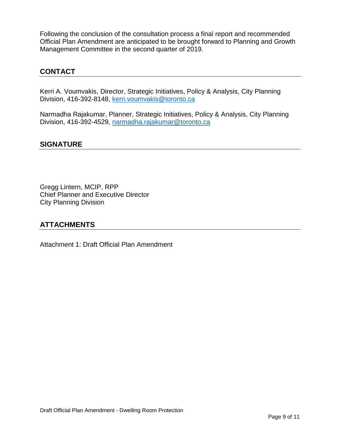Following the conclusion of the consultation process a final report and recommended Official Plan Amendment are anticipated to be brought forward to Planning and Growth Management Committee in the second quarter of 2019.

#### **CONTACT**

Kerri A. Voumvakis, Director, Strategic Initiatives, Policy & Analysis, City Planning Division, 416-392-8148, [kerri.voumvakis@toronto.ca](mailto:kerri.voumvakis@toronto.ca) 

Narmadha Rajakumar, Planner, Strategic Initiatives, Policy & Analysis, City Planning Division, 416-392-4529, [narmadha.rajakumar@toronto.ca](mailto:narmadha.rajakumar@toronto.ca) 

#### **SIGNATURE**

Gregg Lintern, MCIP, RPP Chief Planner and Executive Director City Planning Division

#### **ATTACHMENTS**

Attachment 1: Draft Official Plan Amendment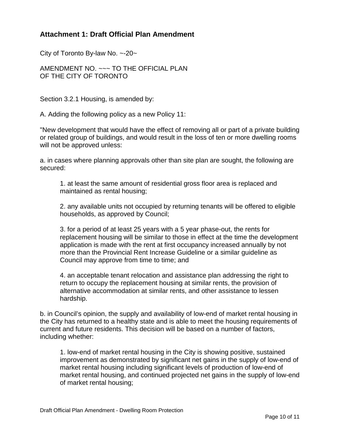#### **Attachment 1: Draft Official Plan Amendment**

City of Toronto By-law No. ~-20~

AMENDMENT NO. ~~~ TO THE OFFICIAL PLAN OF THE CITY OF TORONTO

Section 3.2.1 Housing, is amended by:

A. Adding the following policy as a new Policy 11:

"New development that would have the effect of removing all or part of a private building or related group of buildings, and would result in the loss of ten or more dwelling rooms will not be approved unless:

a. in cases where planning approvals other than site plan are sought, the following are secured:

1. at least the same amount of residential gross floor area is replaced and maintained as rental housing;

2. any available units not occupied by returning tenants will be offered to eligible households, as approved by Council;

3. for a period of at least 25 years with a 5 year phase-out, the rents for replacement housing will be similar to those in effect at the time the development application is made with the rent at first occupancy increased annually by not more than the Provincial Rent Increase Guideline or a similar guideline as Council may approve from time to time; and

4. an acceptable tenant relocation and assistance plan addressing the right to return to occupy the replacement housing at similar rents, the provision of alternative accommodation at similar rents, and other assistance to lessen hardship.

b. in Council's opinion, the supply and availability of low-end of market rental housing in the City has returned to a healthy state and is able to meet the housing requirements of current and future residents. This decision will be based on a number of factors, including whether:

1. low-end of market rental housing in the City is showing positive, sustained improvement as demonstrated by significant net gains in the supply of low-end of market rental housing including significant levels of production of low-end of market rental housing, and continued projected net gains in the supply of low-end of market rental housing;